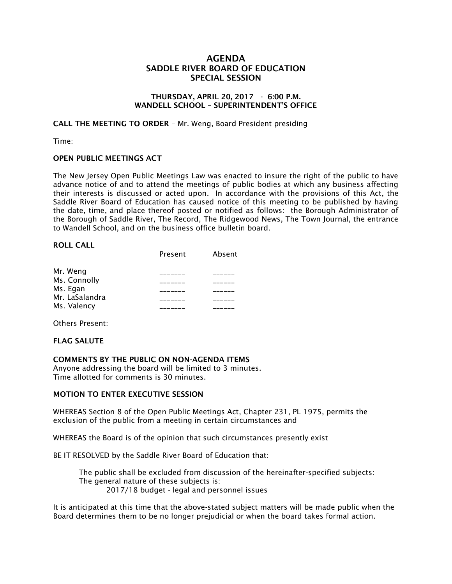## AGENDA SADDLE RIVER BOARD OF EDUCATION SPECIAL SESSION

## THURSDAY, APRIL 20, 2017 - 6:00 P.M. WANDELL SCHOOL – SUPERINTENDENT'S OFFICE

CALL THE MEETING TO ORDER – Mr. Weng, Board President presiding

Time:

## OPEN PUBLIC MEETINGS ACT

The New Jersey Open Public Meetings Law was enacted to insure the right of the public to have advance notice of and to attend the meetings of public bodies at which any business affecting their interests is discussed or acted upon. In accordance with the provisions of this Act, the Saddle River Board of Education has caused notice of this meeting to be published by having the date, time, and place thereof posted or notified as follows: the Borough Administrator of the Borough of Saddle River, The Record, The Ridgewood News, The Town Journal, the entrance to Wandell School, and on the business office bulletin board.

#### ROLL CALL

|                | Present | Absent |
|----------------|---------|--------|
| Mr. Weng       |         |        |
| Ms. Connolly   |         |        |
| Ms. Egan       |         |        |
| Mr. LaSalandra |         |        |
| Ms. Valency    |         |        |

Others Present:

## FLAG SALUTE

COMMENTS BY THE PUBLIC ON NON-AGENDA ITEMS

Anyone addressing the board will be limited to 3 minutes. Time allotted for comments is 30 minutes.

## MOTION TO ENTER EXECUTIVE SESSION

WHEREAS Section 8 of the Open Public Meetings Act, Chapter 231, PL 1975, permits the exclusion of the public from a meeting in certain circumstances and

WHEREAS the Board is of the opinion that such circumstances presently exist

BE IT RESOLVED by the Saddle River Board of Education that:

 The public shall be excluded from discussion of the hereinafter-specified subjects: The general nature of these subjects is: 2017/18 budget - legal and personnel issues

It is anticipated at this time that the above-stated subject matters will be made public when the Board determines them to be no longer prejudicial or when the board takes formal action.